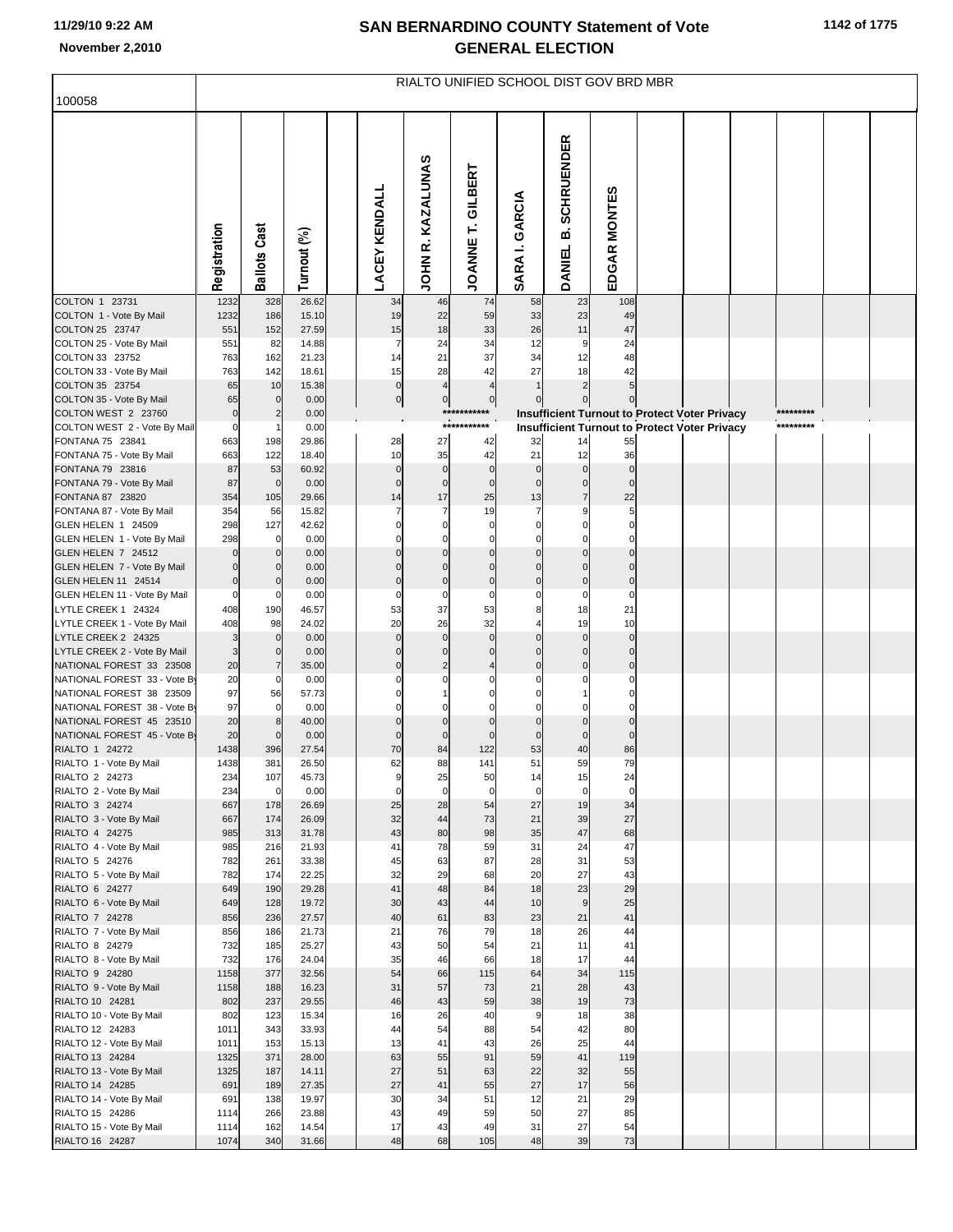## **SAN BERNARDINO COUNTY Statement of Vote November 2,2010 GENERAL ELECTION**

| 100058                                                   | RIALTO UNIFIED SCHOOL DIST GOV BRD MBR |                     |                |  |                      |                               |                                  |                      |                                                      |                                  |  |  |           |  |
|----------------------------------------------------------|----------------------------------------|---------------------|----------------|--|----------------------|-------------------------------|----------------------------------|----------------------|------------------------------------------------------|----------------------------------|--|--|-----------|--|
|                                                          |                                        |                     |                |  |                      |                               |                                  |                      |                                                      |                                  |  |  |           |  |
|                                                          | Registration                           | <b>Ballots Cast</b> | Turnout (%)    |  | <b>LACEY KENDALL</b> | KAZALUNAS<br>œ<br><b>NHOL</b> | GILBERT<br><b>JOANNET.</b>       | GARCIA<br>SARA I.    | <b>SCHRUENDER</b><br>മ<br><b>DANIEL</b>              | EDGAR MONTES                     |  |  |           |  |
| COLTON 1 23731                                           | 1232                                   | 328                 | 26.62<br>15.10 |  | 34<br>19             | 46<br>22                      | 74<br>59                         | 58                   | 23                                                   | 108<br>49                        |  |  |           |  |
| COLTON 1 - Vote By Mail<br>COLTON 25 23747               | 1232<br>551                            | 186<br>152          | 27.59          |  | 15                   | 18                            | 33                               | 33<br>26             | 23<br>11                                             | 47                               |  |  |           |  |
| COLTON 25 - Vote By Mail                                 | 551                                    | 82                  | 14.88          |  | $\overline{7}$       | 24                            | 34                               | 12                   | 9                                                    | 24                               |  |  |           |  |
| COLTON 33 23752                                          | 763                                    | 162                 | 21.23          |  | 14                   | 21                            | 37                               | 34                   | 12                                                   | 48                               |  |  |           |  |
| COLTON 33 - Vote By Mail                                 | 763                                    | 142                 | 18.61          |  | 15<br>$\overline{0}$ | 28<br>$\overline{4}$          | 42                               | 27<br>$\overline{1}$ | 18                                                   | 42                               |  |  |           |  |
| COLTON 35 23754<br>COLTON 35 - Vote By Mail              | 65<br>65                               | 10<br>$\mathbf 0$   | 15.38<br>0.00  |  | $\overline{0}$       | $\overline{0}$                | $\overline{4}$<br>$\overline{0}$ | $\mathbf 0$          | $\overline{2}$                                       | 5 <sub>l</sub><br>$\overline{0}$ |  |  |           |  |
| COLTON WEST 2 23760                                      | $\mathbf 0$                            | $\overline{2}$      | 0.00           |  |                      |                               | ***********                      |                      | Insufficient Turnout to Protect Voter Privacy        |                                  |  |  | ********* |  |
| COLTON WEST 2 - Vote By Mail                             | $\mathbf 0$                            |                     | 0.00           |  |                      |                               | ***********                      |                      | <b>Insufficient Turnout to Protect Voter Privacy</b> |                                  |  |  | ********* |  |
| FONTANA 75 23841                                         | 663                                    | 198                 | 29.86          |  | 28                   | 27                            | 42                               | 32                   | 14                                                   | 55                               |  |  |           |  |
| FONTANA 75 - Vote By Mail<br>FONTANA 79 23816            | 663<br>87                              | 122<br>53           | 18.40<br>60.92 |  | 10<br>$\overline{0}$ | 35<br>$\overline{0}$          | 42<br>$\mathbf 0$                | 21<br>$\mathbf 0$    | 12<br>$\overline{0}$                                 | 36<br>$\mathbf 0$                |  |  |           |  |
| FONTANA 79 - Vote By Mail                                | 87                                     | $\mathbf 0$         | 0.00           |  | $\mathbf 0$          | $\overline{0}$                | $\mathbf 0$                      | $\mathbf 0$          | $\overline{0}$                                       | $\mathbf 0$                      |  |  |           |  |
| FONTANA 87 23820                                         | 354                                    | 105                 | 29.66          |  | 14                   | 17                            | 25                               | 13                   | $\overline{7}$                                       | 22                               |  |  |           |  |
| FONTANA 87 - Vote By Mail                                | 354                                    | 56                  | 15.82          |  |                      | $\overline{7}$                | 19                               | $\overline{7}$       |                                                      | 5                                |  |  |           |  |
| GLEN HELEN 1 24509                                       | 298                                    | 127                 | 42.62          |  | $\Omega$             | $\mathbf 0$                   | $\mathbf 0$                      | $\Omega$             |                                                      | $\mathbf 0$                      |  |  |           |  |
| GLEN HELEN 1 - Vote By Mail<br>GLEN HELEN 7 24512        | 298<br>$\Omega$                        | 0<br>$\mathbf{0}$   | 0.00<br>0.00   |  | C<br>$\Omega$        | $\mathbf 0$<br>$\overline{0}$ | $\Omega$<br>$\mathbf 0$          | $\mathbf 0$          | $\overline{0}$                                       | $\mathbf 0$<br>$\overline{0}$    |  |  |           |  |
| GLEN HELEN 7 - Vote By Mail                              |                                        | $\Omega$            | 0.00           |  |                      | $\Omega$                      | $\Omega$                         |                      |                                                      | $\mathbf 0$                      |  |  |           |  |
| GLEN HELEN 11 24514                                      | $\mathbf 0$                            | $\Omega$            | 0.00           |  | $\Omega$             | $\overline{0}$                | $\mathbf 0$                      | $\mathbf 0$          | $\overline{0}$                                       | $\overline{0}$                   |  |  |           |  |
| GLEN HELEN 11 - Vote By Mail                             | $\mathbf 0$                            | 0                   | 0.00           |  | $\Omega$             | $\mathbf 0$                   | $\Omega$                         |                      | $\mathbf 0$                                          | $\mathbf 0$                      |  |  |           |  |
| LYTLE CREEK 1 24324                                      | 408                                    | 190                 | 46.57          |  | 53<br>20             | 37<br>26                      | 53<br>32                         | 8                    | 18<br>19                                             | 21<br>10                         |  |  |           |  |
| LYTLE CREEK 1 - Vote By Mail<br>LYTLE CREEK 2 24325      | 408<br>3                               | 98<br>$\Omega$      | 24.02<br>0.00  |  | $\mathbf 0$          | $\circ$                       | $\mathbf{0}$                     | $\mathbf 0$          | $\overline{0}$                                       | $\mathbf 0$                      |  |  |           |  |
| LYTLE CREEK 2 - Vote By Mail                             | 3                                      | $\Omega$            | 0.00           |  | $\Omega$             | $\mathbf 0$                   | $\Omega$                         |                      | $\overline{0}$                                       | $\mathbf 0$                      |  |  |           |  |
| NATIONAL FOREST 33 23508                                 | 20                                     | $\overline{7}$      | 35.00          |  | $\Omega$             | $\overline{2}$                |                                  | $\Omega$             | $\mathbf 0$                                          | $\mathbf 0$                      |  |  |           |  |
| NATIONAL FOREST 33 - Vote By                             | 20                                     | $\Omega$            | 0.00           |  |                      |                               |                                  |                      |                                                      | $\mathbf 0$                      |  |  |           |  |
| NATIONAL FOREST 38 23509<br>NATIONAL FOREST 38 - Vote By | 97<br>97                               | 56<br>0             | 57.73<br>0.00  |  |                      | C                             |                                  |                      |                                                      | $\mathbf 0$                      |  |  |           |  |
| NATIONAL FOREST 45 23510                                 | 20                                     | 8                   | 40.00          |  | $\Omega$             | $\mathbf 0$                   | $\mathbf 0$                      |                      | $\overline{0}$                                       | $\mathbf 0$                      |  |  |           |  |
| NATIONAL FOREST 45 - Vote By                             | 20                                     | $\Omega$            | 0.00           |  | $\Omega$             | $\mathbf 0$                   |                                  |                      | $\mathbf 0$                                          | $\mathbf 0$                      |  |  |           |  |
| RIALTO 1 24272                                           | 1438                                   | 396                 | 27.54          |  | 70                   | 84                            | 122                              | 53                   | 40                                                   | 86                               |  |  |           |  |
| RIALTO 1 - Vote By Mail                                  | 1438                                   | 381                 | 26.50          |  | 62                   | 88                            | 141                              | 51                   | 59                                                   | 79                               |  |  |           |  |
| RIALTO 2 24273<br>RIALTO 2 - Vote By Mail                | 234<br>234                             | 107<br>$\mathbf 0$  | 45.73<br>0.00  |  | $\Omega$             | 25<br>$\mathbf 0$             | 50<br>$\mathbf 0$                | 14<br>$\mathbf 0$    | 15<br>$\mathbf 0$                                    | 24<br>$\mathbf 0$                |  |  |           |  |
| RIALTO 3 24274                                           | 667                                    | 178                 | 26.69          |  | 25                   | 28                            | 54                               | 27                   | 19                                                   | 34                               |  |  |           |  |
| RIALTO 3 - Vote By Mail                                  | 667                                    | 174                 | 26.09          |  | 32                   | 44                            | 73                               | 21                   | 39                                                   | 27                               |  |  |           |  |
| RIALTO 4 24275                                           | 985<br>985                             | 313                 | 31.78<br>21.93 |  | 43<br>41             | 80<br>78                      | 98<br>59                         | 35<br>31             | 47<br>24                                             | 68<br>47                         |  |  |           |  |
| RIALTO 4 - Vote By Mail<br>RIALTO 5 24276                | 782                                    | 216<br>261          | 33.38          |  | 45                   | 63                            | 87                               | 28                   | 31                                                   | 53                               |  |  |           |  |
| RIALTO 5 - Vote By Mail                                  | 782                                    | 174                 | 22.25          |  | 32                   | 29                            | 68                               | 20                   | 27                                                   | 43                               |  |  |           |  |
| RIALTO 6 24277                                           | 649                                    | 190                 | 29.28          |  | 41                   | 48                            | 84                               | 18                   | 23                                                   | 29                               |  |  |           |  |
| RIALTO 6 - Vote By Mail                                  | 649                                    | 128                 | 19.72          |  | 30                   | 43                            | 44                               | 10                   | 9                                                    | 25                               |  |  |           |  |
| RIALTO 7 24278<br>RIALTO 7 - Vote By Mail                | 856<br>856                             | 236<br>186          | 27.57<br>21.73 |  | 40<br>21             | 61<br>76                      | 83<br>79                         | 23<br>18             | 21<br>26                                             | 41<br>44                         |  |  |           |  |
| RIALTO 8 24279                                           | 732                                    | 185                 | 25.27          |  | 43                   | 50                            | 54                               | 21                   | 11                                                   | 41                               |  |  |           |  |
| RIALTO 8 - Vote By Mail                                  | 732                                    | 176                 | 24.04          |  | 35                   | 46                            | 66                               | 18                   | 17                                                   | 44                               |  |  |           |  |
| RIALTO 9 24280                                           | 1158                                   | 377                 | 32.56          |  | 54                   | 66                            | 115                              | 64                   | 34                                                   | 115                              |  |  |           |  |
| RIALTO 9 - Vote By Mail<br>RIALTO 10 24281               | 1158<br>802                            | 188<br>237          | 16.23<br>29.55 |  | 31<br>46             | 57<br>43                      | 73<br>59                         | 21<br>38             | 28<br>19                                             | 43<br>73                         |  |  |           |  |
| RIALTO 10 - Vote By Mail                                 | 802                                    | 123                 | 15.34          |  | 16                   | 26                            | 40                               | 9                    | 18                                                   | 38                               |  |  |           |  |
| RIALTO 12 24283                                          | 1011                                   | 343                 | 33.93          |  | 44                   | 54                            | 88                               | 54                   | 42                                                   | 80                               |  |  |           |  |
| RIALTO 12 - Vote By Mail                                 | 1011                                   | 153                 | 15.13          |  | 13                   | 41                            | 43                               | 26                   | 25                                                   | 44                               |  |  |           |  |
| RIALTO 13 24284                                          | 1325                                   | 371                 | 28.00          |  | 63                   | 55                            | 91                               | 59                   | 41                                                   | 119                              |  |  |           |  |
| RIALTO 13 - Vote By Mail<br>RIALTO 14 24285              | 1325<br>691                            | 187<br>189          | 14.11<br>27.35 |  | 27<br>27             | 51<br>41                      | 63<br>55                         | 22<br>27             | 32<br>17                                             | 55<br>56                         |  |  |           |  |
| RIALTO 14 - Vote By Mail                                 | 691                                    | 138                 | 19.97          |  | 30                   | 34                            | 51                               | 12                   | 21                                                   | 29                               |  |  |           |  |
| RIALTO 15 24286                                          | 1114                                   | 266                 | 23.88          |  | 43                   | 49                            | 59                               | 50                   | 27                                                   | 85                               |  |  |           |  |
| RIALTO 15 - Vote By Mail                                 | 1114                                   | 162                 | 14.54          |  | 17                   | 43                            | 49                               | 31                   | 27                                                   | 54                               |  |  |           |  |
| RIALTO 16 24287                                          | 1074                                   | 340                 | 31.66          |  | 48                   | 68                            | 105                              | 48                   | 39                                                   | 73                               |  |  |           |  |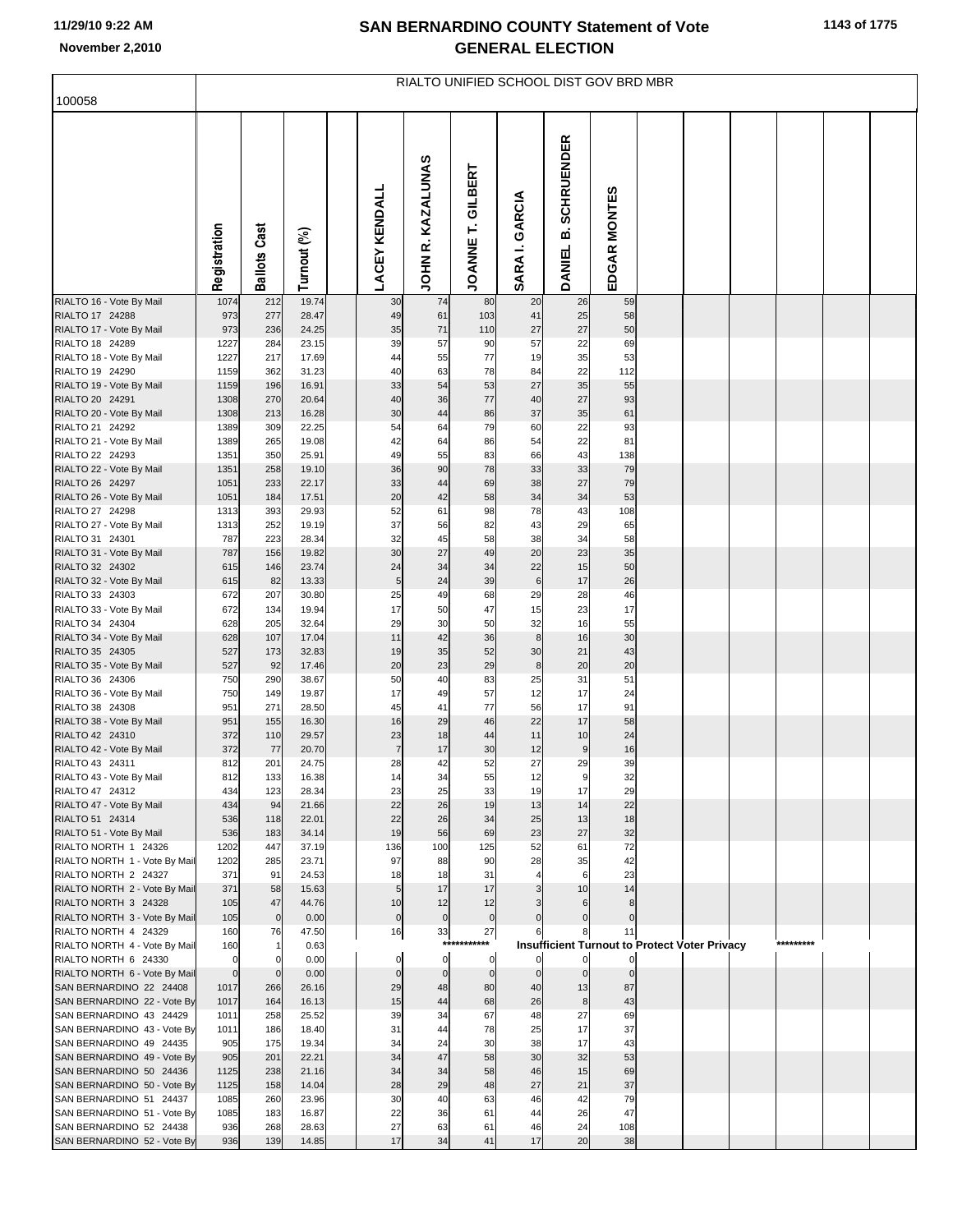## **SAN BERNARDINO COUNTY Statement of Vote November 2,2010 GENERAL ELECTION**

| 100058                                                 | RIALTO UNIFIED SCHOOL DIST GOV BRD MBR |                     |                |  |                      |                             |                        |                   |                                                      |                   |  |  |  |           |  |
|--------------------------------------------------------|----------------------------------------|---------------------|----------------|--|----------------------|-----------------------------|------------------------|-------------------|------------------------------------------------------|-------------------|--|--|--|-----------|--|
|                                                        |                                        |                     |                |  |                      |                             |                        |                   |                                                      |                   |  |  |  |           |  |
|                                                        | Registration                           | <b>Ballots Cast</b> | Turnout (%)    |  | <b>LACEY KENDALL</b> | R. KAZALUNAS<br><b>NHOL</b> | <b>JOANNET.GILBERT</b> | GARCIA<br>SARA I. | <b>SCHRUENDER</b><br>മ<br><b>DANIEL</b>              | EDGAR MONTES      |  |  |  |           |  |
| RIALTO 16 - Vote By Mail<br>RIALTO 17 24288            | 1074<br>973                            | 212<br>277          | 19.74<br>28.47 |  | 30<br>49             | 74<br>61                    | 80<br>103              | 20<br>41          | 26<br>25                                             | 59<br>58          |  |  |  |           |  |
| RIALTO 17 - Vote By Mail                               | 973                                    | 236                 | 24.25          |  | 35                   | 71                          | 110                    | 27                | 27                                                   | 50                |  |  |  |           |  |
| RIALTO 18 24289                                        | 1227                                   | 284                 | 23.15          |  | 39                   | 57                          | 90                     | 57                | 22                                                   | 69                |  |  |  |           |  |
| RIALTO 18 - Vote By Mail                               | 1227                                   | 217                 | 17.69          |  | 44                   | 55                          | 77                     | 19                | 35                                                   | 53                |  |  |  |           |  |
| RIALTO 19 24290                                        | 1159                                   | 362                 | 31.23          |  | 40                   | 63                          | 78                     | 84                | 22                                                   | 112               |  |  |  |           |  |
| RIALTO 19 - Vote By Mail<br>RIALTO 20 24291            | 1159<br>1308                           | 196<br>270          | 16.91<br>20.64 |  | 33<br>40             | 54<br>36                    | 53<br>77               | 27<br>40          | 35<br>27                                             | 55<br>93          |  |  |  |           |  |
| RIALTO 20 - Vote By Mail                               | 1308                                   | 213                 | 16.28          |  | 30                   | 44                          | 86                     | 37                | 35                                                   | 61                |  |  |  |           |  |
| RIALTO 21 24292                                        | 1389                                   | 309                 | 22.25          |  | 54                   | 64                          | 79                     | 60                | 22                                                   | 93                |  |  |  |           |  |
| RIALTO 21 - Vote By Mail                               | 1389                                   | 265                 | 19.08          |  | 42                   | 64                          | 86                     | 54                | 22                                                   | 81                |  |  |  |           |  |
| RIALTO 22 24293                                        | 1351                                   | 350                 | 25.91          |  | 49                   | 55                          | 83                     | 66                | 43                                                   | 138               |  |  |  |           |  |
| RIALTO 22 - Vote By Mail<br>RIALTO 26 24297            | 1351<br>1051                           | 258<br>233          | 19.10<br>22.17 |  | 36<br>33             | 90<br>44                    | 78<br>69               | 33<br>38          | 33<br>27                                             | 79<br>79          |  |  |  |           |  |
| RIALTO 26 - Vote By Mail                               | 1051                                   | 184                 | 17.51          |  | 20                   | 42                          | 58                     | 34                | 34                                                   | 53                |  |  |  |           |  |
| RIALTO 27 24298                                        | 1313                                   | 393                 | 29.93          |  | 52                   | 61                          | 98                     | 78                | 43                                                   | 108               |  |  |  |           |  |
| RIALTO 27 - Vote By Mail                               | 1313                                   | 252                 | 19.19          |  | 37                   | 56                          | 82                     | 43                | 29                                                   | 65                |  |  |  |           |  |
| RIALTO 31 24301                                        | 787                                    | 223                 | 28.34          |  | 32                   | 45                          | 58                     | 38                | 34                                                   | 58                |  |  |  |           |  |
| RIALTO 31 - Vote By Mail<br>RIALTO 32 24302            | 787<br>615                             | 156<br>146          | 19.82<br>23.74 |  | 30<br>24             | 27<br>34                    | 49<br>34               | 20<br>22          | 23<br>15                                             | 35<br>50          |  |  |  |           |  |
| RIALTO 32 - Vote By Mail                               | 615                                    | 82                  | 13.33          |  | $\sqrt{5}$           | 24                          | 39                     | $\,6$             | 17                                                   | 26                |  |  |  |           |  |
| RIALTO 33 24303                                        | 672                                    | 207                 | 30.80          |  | 25                   | 49                          | 68                     | 29                | 28                                                   | 46                |  |  |  |           |  |
| RIALTO 33 - Vote By Mail                               | 672                                    | 134                 | 19.94          |  | 17                   | 50                          | 47                     | 15                | 23                                                   | 17                |  |  |  |           |  |
| RIALTO 34 24304<br>RIALTO 34 - Vote By Mail            | 628<br>628                             | 205<br>107          | 32.64<br>17.04 |  | 29<br>11             | 30<br>42                    | 50<br>36               | 32<br>8           | 16<br>16                                             | 55<br>30          |  |  |  |           |  |
| RIALTO 35 24305                                        | 527                                    | 173                 | 32.83          |  | 19                   | 35                          | 52                     | 30                | 21                                                   | 43                |  |  |  |           |  |
| RIALTO 35 - Vote By Mail                               | 527                                    | 92                  | 17.46          |  | 20                   | 23                          | 29                     | 8                 | 20                                                   | 20                |  |  |  |           |  |
| RIALTO 36 24306                                        | 750                                    | 290                 | 38.67          |  | 50                   | 40                          | 83                     | 25                | 31                                                   | 51                |  |  |  |           |  |
| RIALTO 36 - Vote By Mail<br>RIALTO 38 24308            | 750                                    | 149                 | 19.87          |  | 17                   | 49<br>41                    | 57<br>77               | 12                | 17<br>17                                             | 24                |  |  |  |           |  |
| RIALTO 38 - Vote By Mail                               | 951<br>951                             | 271<br>155          | 28.50<br>16.30 |  | 45<br>16             | 29                          | 46                     | 56<br>22          | 17                                                   | 91<br>58          |  |  |  |           |  |
| RIALTO 42 24310                                        | 372                                    | 110                 | 29.57          |  | 23                   | 18                          | 44                     | 11                | 10                                                   | 24                |  |  |  |           |  |
| RIALTO 42 - Vote By Mail                               | 372                                    | 77                  | 20.70          |  | $\overline{7}$       | 17                          | 30                     | 12                | $\overline{9}$                                       | 16                |  |  |  |           |  |
| RIALTO 43 24311                                        | 812                                    | 201                 | 24.75          |  | 28                   | 42                          | 52                     | 27                | 29                                                   | 39                |  |  |  |           |  |
| RIALTO 43 - Vote By Mail<br>RIALTO 47 24312            | 812<br>434                             | 133<br>123          | 16.38<br>28.34 |  | 23                   | 34<br>25                    | 55<br>33               | 12<br>19          | 17                                                   | 32<br>29          |  |  |  |           |  |
| RIALTO 47 - Vote By Mail                               | 434                                    | 94                  | 21.66          |  | 22                   | 26                          | 19                     | 13                | 14                                                   | 22                |  |  |  |           |  |
| RIALTO 51 24314                                        | 536                                    | 118                 | 22.01          |  | 22                   | 26                          | 34                     | 25                | 13                                                   | 18                |  |  |  |           |  |
| RIALTO 51 - Vote By Mail                               | 536                                    | 183                 | 34.14          |  | 19                   | 56                          | 69                     | 23                | 27                                                   | 32                |  |  |  |           |  |
| RIALTO NORTH 1 24326<br>RIALTO NORTH 1 - Vote By Mail  | 1202<br>1202                           | 447<br>285          | 37.19<br>23.71 |  | 136<br>97            | 100<br>88                   | 125<br>90              | 52<br>28          | 61<br>35                                             | 72<br>42          |  |  |  |           |  |
| RIALTO NORTH 2 24327                                   | 371                                    | 91                  | 24.53          |  | 18                   | 18                          | 31                     |                   | 6                                                    | 23                |  |  |  |           |  |
| RIALTO NORTH 2 - Vote By Mail                          | 371                                    | 58                  | 15.63          |  | 5 <sub>5</sub>       | 17                          | 17                     | 3                 | 10                                                   | 14                |  |  |  |           |  |
| RIALTO NORTH 3 24328                                   | 105                                    | 47                  | 44.76          |  | 10                   | 12                          | 12                     |                   | 6                                                    | 8                 |  |  |  |           |  |
| RIALTO NORTH 3 - Vote By Mail<br>RIALTO NORTH 4 24329  | 105<br>160                             | $\mathbf 0$<br>76   | 0.00<br>47.50  |  | $\overline{0}$<br>16 | $\mathbf 0$<br>33           | $\mathbf 0$<br>27      |                   | $\mathbf{0}$                                         | $\mathbf 0$<br>11 |  |  |  |           |  |
| RIALTO NORTH 4 - Vote By Mail                          | 160                                    |                     | 0.63           |  |                      | ****                        | *****                  |                   | <b>Insufficient Turnout to Protect Voter Privacy</b> |                   |  |  |  | ********* |  |
| RIALTO NORTH 6 24330                                   | $\mathbf 0$                            | $\Omega$            | 0.00           |  | 0                    | $\mathbf 0$                 | 0                      | 0                 | $\mathbf{0}$                                         | $\mathbf{0}$      |  |  |  |           |  |
| RIALTO NORTH 6 - Vote By Mail                          | $\overline{0}$                         | $\overline{0}$      | 0.00           |  | $\mathbf 0$          | $\mathbf 0$                 | $\mathbf 0$            | $\mathbf 0$       | $\overline{0}$                                       | $\mathbf 0$       |  |  |  |           |  |
| SAN BERNARDINO 22 24408<br>SAN BERNARDINO 22 - Vote By | 1017<br>1017                           | 266<br>164          | 26.16<br>16.13 |  | 29<br>15             | 48<br>44                    | 80<br>68               | 40<br>26          | 13<br>8                                              | 87<br>43          |  |  |  |           |  |
| SAN BERNARDINO 43 24429                                | 1011                                   | 258                 | 25.52          |  | 39                   | 34                          | 67                     | 48                | 27                                                   | 69                |  |  |  |           |  |
| SAN BERNARDINO 43 - Vote By                            | 1011                                   | 186                 | 18.40          |  | 31                   | 44                          | 78                     | 25                | 17                                                   | 37                |  |  |  |           |  |
| SAN BERNARDINO 49 24435                                | 905                                    | 175                 | 19.34          |  | 34                   | 24                          | 30                     | 38                | 17                                                   | 43                |  |  |  |           |  |
| SAN BERNARDINO 49 - Vote By                            | 905                                    | 201                 | 22.21<br>21.16 |  | 34<br>34             | 47<br>34                    | 58                     | 30                | 32                                                   | 53                |  |  |  |           |  |
| SAN BERNARDINO 50 24436<br>SAN BERNARDINO 50 - Vote By | 1125<br>1125                           | 238<br>158          | 14.04          |  | 28                   | 29                          | 58<br>48               | 46<br>27          | 15<br>21                                             | 69<br>37          |  |  |  |           |  |
| SAN BERNARDINO 51 24437                                | 1085                                   | 260                 | 23.96          |  | 30                   | 40                          | 63                     | 46                | 42                                                   | 79                |  |  |  |           |  |
| SAN BERNARDINO 51 - Vote By                            | 1085                                   | 183                 | 16.87          |  | 22                   | 36                          | 61                     | 44                | 26                                                   | 47                |  |  |  |           |  |
| SAN BERNARDINO 52 24438                                | 936                                    | 268                 | 28.63          |  | 27                   | 63                          | 61                     | 46                | 24                                                   | 108               |  |  |  |           |  |
| SAN BERNARDINO 52 - Vote By                            | 936                                    | 139                 | 14.85          |  | 17                   | 34                          | 41                     | 17                | 20                                                   | 38                |  |  |  |           |  |